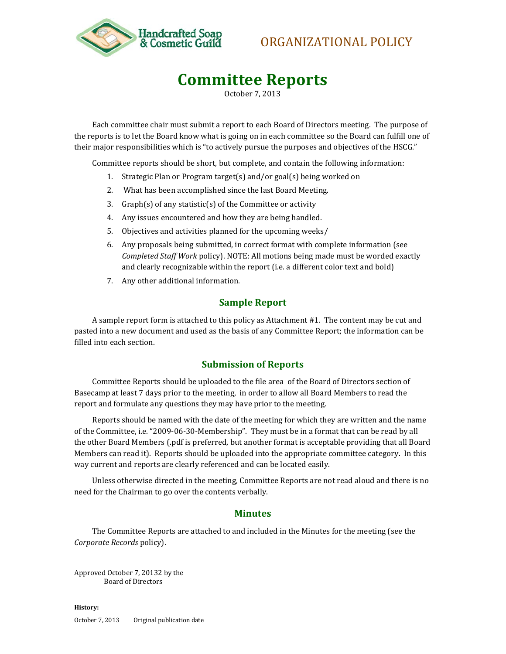

## ORGANIZATIONAL POLICY

# **Committee Reports**

October 7, 2013

Each committee chair must submit a report to each Board of Directors meeting. The purpose of the reports is to let the Board know what is going on in each committee so the Board can fulfill one of their major responsibilities which is "to actively pursue the purposes and objectives of the HSCG."

Committee reports should be short, but complete, and contain the following information:

- 1. Strategic Plan or Program target(s) and/or goal(s) being worked on
- 2. What has been accomplished since the last Board Meeting.
- 3. Graph(s) of any statistic(s) of the Committee or activity
- 4. Any issues encountered and how they are being handled.
- 5. Objectives and activities planned for the upcoming weeks/
- 6. Any proposals being submitted, in correct format with complete information (see *Completed Staff Work* policy). NOTE: All motions being made must be worded exactly and clearly recognizable within the report (i.e. a different color text and bold)
- 7. Any other additional information.

#### **Sample Report**

A sample report form is attached to this policy as Attachment #1. The content may be cut and pasted into a new document and used as the basis of any Committee Report; the information can be filled into each section.

#### **Submission of Reports**

Committee Reports should be uploaded to the file area of the Board of Directors section of Basecamp at least 7 days prior to the meeting, in order to allow all Board Members to read the report and formulate any questions they may have prior to the meeting.

Reports should be named with the date of the meeting for which they are written and the name of the Committee, i.e. "2009-06-30-Membership". They must be in a format that can be read by all the other Board Members (.pdf is preferred, but another format is acceptable providing that all Board Members can read it). Reports should be uploaded into the appropriate committee category. In this way current and reports are clearly referenced and can be located easily.

Unless otherwise directed in the meeting, Committee Reports are not read aloud and there is no need for the Chairman to go over the contents verbally.

#### **Minutes**

The Committee Reports are attached to and included in the Minutes for the meeting (see the *Corporate Records* policy).

Approved October 7, 20132 by the Board of Directors

**History:** October 7, 2013 Original publication date